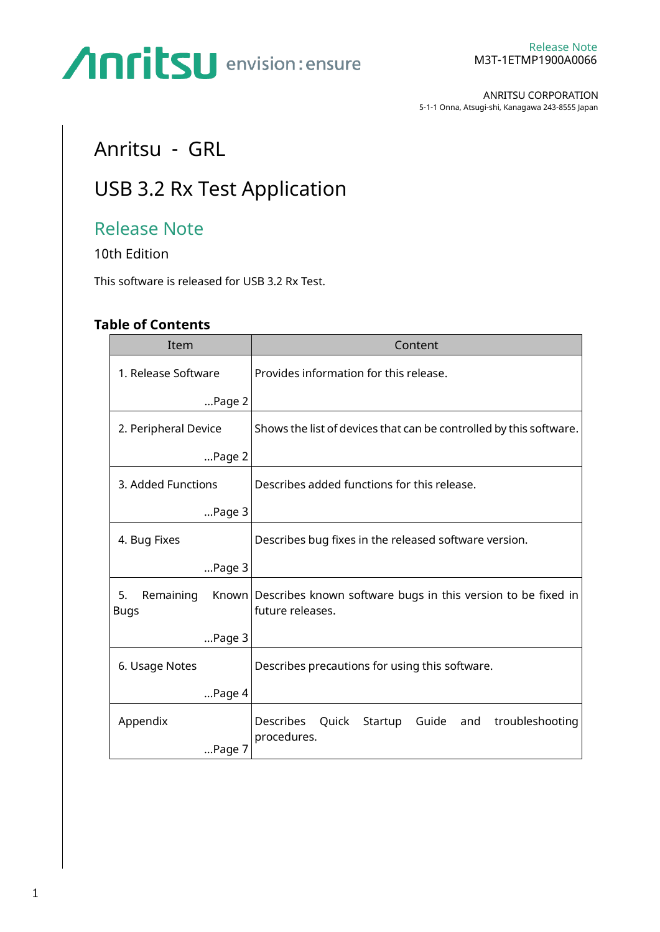ANRITSU CORPORATION 5-1-1 Onna, Atsugi-shi, Kanagawa 243-8555 Japan

### Anritsu - GRL

### USB 3.2 Rx Test Application

### Release Note

10th Edition

This software is released for USB 3.2 Rx Test.

#### **Table of Contents**

| Item                           | Content                                                                                |
|--------------------------------|----------------------------------------------------------------------------------------|
| 1. Release Software            | Provides information for this release.                                                 |
| $$ Page $2$                    |                                                                                        |
| 2. Peripheral Device           | Shows the list of devices that can be controlled by this software.                     |
| Page 2                         |                                                                                        |
| 3. Added Functions             | Describes added functions for this release.                                            |
| Page 3                         |                                                                                        |
| 4. Bug Fixes                   | Describes bug fixes in the released software version.                                  |
| Page 3                         |                                                                                        |
| 5.<br>Remaining<br><b>Bugs</b> | Known Describes known software bugs in this version to be fixed in<br>future releases. |
| Page 3                         |                                                                                        |
| 6. Usage Notes                 | Describes precautions for using this software.                                         |
| Page 4                         |                                                                                        |
| Appendix<br>Page 7             | troubleshooting<br>Describes<br>Guide<br>Quick<br>Startup<br>and<br>procedures.        |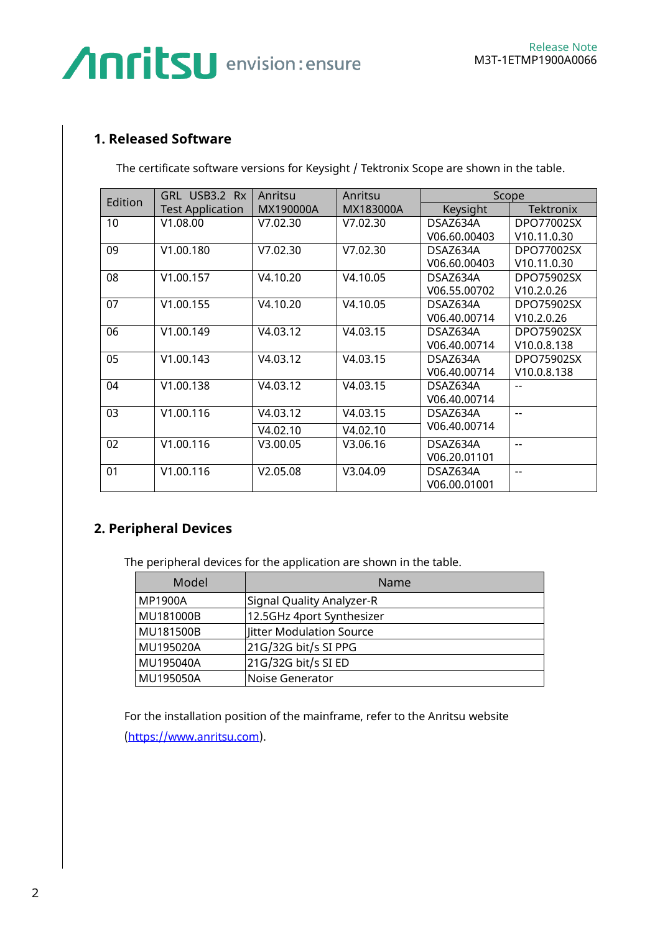#### <span id="page-1-0"></span>**1. Released Software**

The certificate software versions for Keysight / Tektronix Scope are shown in the table.

| Edition | GRL USB3.2 Rx           | Anritsu   | Anritsu   | Scope        |                          |
|---------|-------------------------|-----------|-----------|--------------|--------------------------|
|         | <b>Test Application</b> | MX190000A | MX183000A | Keysight     | <b>Tektronix</b>         |
| 10      | V1.08.00                | V7.02.30  | V7.02.30  | DSAZ634A     | DPO77002SX               |
|         |                         |           |           | V06.60.00403 | V <sub>10.11</sub> .0.30 |
| 09      | V1.00.180               | V7.02.30  | V7.02.30  | DSAZ634A     | DPO77002SX               |
|         |                         |           |           | V06.60.00403 | V <sub>10.11</sub> .0.30 |
| 08      | V1.00.157               | V4.10.20  | V4.10.05  | DSAZ634A     | DPO75902SX               |
|         |                         |           |           | V06.55.00702 | V10.2.0.26               |
| 07      | V1.00.155               | V4.10.20  | V4.10.05  | DSAZ634A     | DPO75902SX               |
|         |                         |           |           | V06.40.00714 | V10.2.0.26               |
| 06      | V1.00.149               | V4.03.12  | V4.03.15  | DSAZ634A     | DPO75902SX               |
|         |                         |           |           | V06.40.00714 | V <sub>10.0.8</sub> .138 |
| 05      | V1.00.143               | V4.03.12  | V4.03.15  | DSAZ634A     | DPO75902SX               |
|         |                         |           |           | V06.40.00714 | V10.0.8.138              |
| 04      | V1.00.138               | V4.03.12  | V4.03.15  | DSAZ634A     |                          |
|         |                         |           |           | V06.40.00714 |                          |
| 03      | V1.00.116               | V4.03.12  | V4.03.15  | DSAZ634A     | $-$                      |
|         |                         | V4.02.10  | V4.02.10  | V06.40.00714 |                          |
| 02      | V1.00.116               | V3.00.05  | V3.06.16  | DSAZ634A     |                          |
|         |                         |           |           | V06.20.01101 |                          |
| 01      | V1.00.116               | V2.05.08  | V3.04.09  | DSAZ634A     | $-$                      |
|         |                         |           |           | V06.00.01001 |                          |

#### <span id="page-1-1"></span>**2. Peripheral Devices**

The peripheral devices for the application are shown in the table.

| Model          | Name                      |
|----------------|---------------------------|
| <b>MP1900A</b> | Signal Quality Analyzer-R |
| MU181000B      | 12.5GHz 4port Synthesizer |
| MU181500B      | Jitter Modulation Source  |
| MU195020A      | 21G/32G bit/s SI PPG      |
| MU195040A      | 21G/32G bit/s SI ED       |
| MU195050A      | Noise Generator           |

For the installation position of the mainframe, refer to the Anritsu website [\(https://www.anritsu.com\)](https://www.anritsu.com/).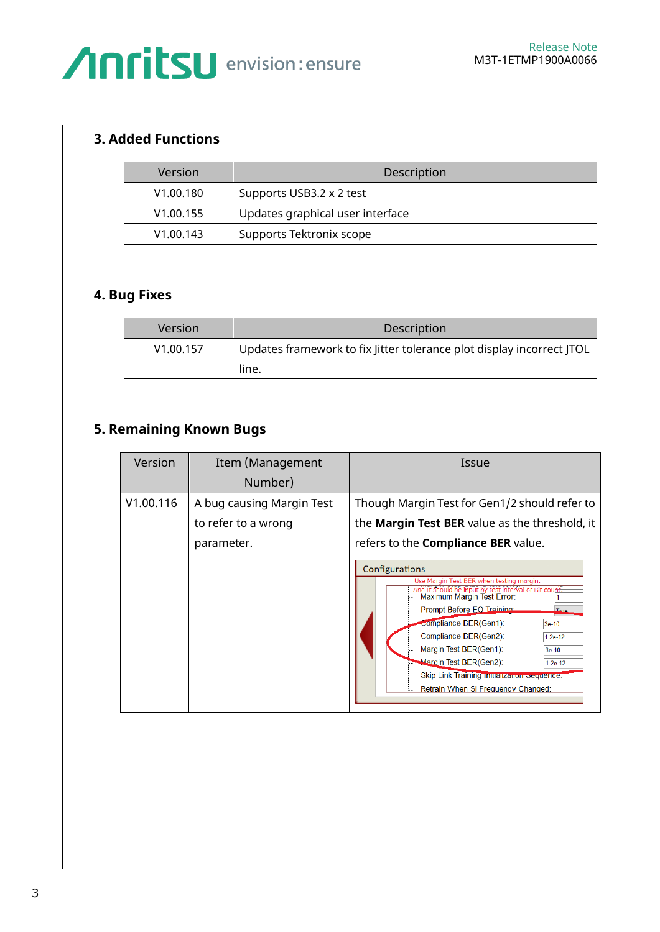#### <span id="page-2-0"></span>**3. Added Functions**

| Version               | Description                      |
|-----------------------|----------------------------------|
| V <sub>1.00.180</sub> | Supports USB3.2 x 2 test         |
| V <sub>1.00.155</sub> | Updates graphical user interface |
| V1.00.143             | Supports Tektronix scope         |

#### <span id="page-2-1"></span>**4. Bug Fixes**

| Version   | Description                                                           |
|-----------|-----------------------------------------------------------------------|
| V1.00.157 | Updates framework to fix Jitter tolerance plot display incorrect JTOL |
|           | line.                                                                 |

#### <span id="page-2-2"></span>**5. Remaining Known Bugs**

| Version   | Item (Management                                               | Issue                                                                                                                                                                                                                                                                                                                                                                                                                                                                                                                                                                                         |
|-----------|----------------------------------------------------------------|-----------------------------------------------------------------------------------------------------------------------------------------------------------------------------------------------------------------------------------------------------------------------------------------------------------------------------------------------------------------------------------------------------------------------------------------------------------------------------------------------------------------------------------------------------------------------------------------------|
|           | Number)                                                        |                                                                                                                                                                                                                                                                                                                                                                                                                                                                                                                                                                                               |
| V1.00.116 | A bug causing Margin Test<br>to refer to a wrong<br>parameter. | Though Margin Test for Gen1/2 should refer to<br>the Margin Test BER value as the threshold, it<br>refers to the <b>Compliance BER</b> value.<br>Configurations<br>Use Margin Test BER when testing margin.<br>And It should be input by test interval or Bit count.<br>Maximum Margin Test Error:<br>Prompt Before EQ Training:<br>T <sub>110</sub><br>compliance BER(Gen1):<br>3e-10<br>Compliance BER(Gen2):<br>$1.2e-12$<br>Margin Test BER(Gen1):<br>$3e-10$<br>Margin Test BER(Gen2):<br>$1.2e-12$<br>Skip Link Training Initialization Sequence:<br>Retrain When Si Frequency Changed: |
|           |                                                                |                                                                                                                                                                                                                                                                                                                                                                                                                                                                                                                                                                                               |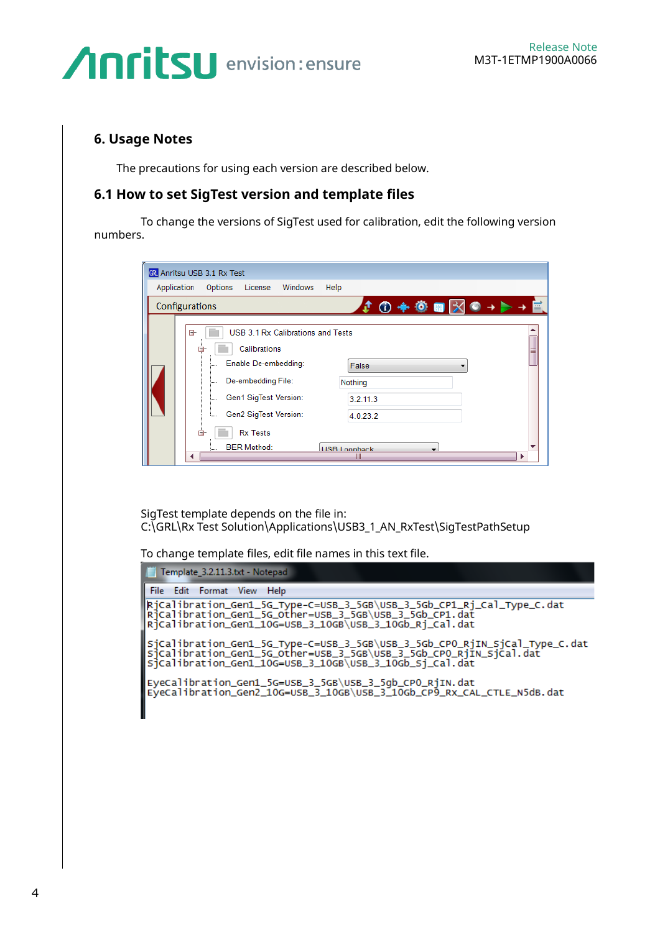#### <span id="page-3-0"></span>**6. Usage Notes**

Ш

The precautions for using each version are described below.

#### **6.1 How to set SigTest version and template files**

To change the versions of SigTest used for calibration, edit the following version numbers.

|             | M Anritsu USB 3.1 Rx Test                                                                                                                                                                                                                                                                |
|-------------|------------------------------------------------------------------------------------------------------------------------------------------------------------------------------------------------------------------------------------------------------------------------------------------|
| Application | Windows<br>Options<br>License<br>Help                                                                                                                                                                                                                                                    |
|             | $\mathbf{1} \oplus \mathbf{0} + \mathbf{0} \oplus \mathbf{0}$<br>Configurations                                                                                                                                                                                                          |
|             | USB 3.1 Rx Calibrations and Tests<br>⊟-<br>Calibrations<br>8<br>Enable De-embedding:<br>False<br>De-embedding File:<br>Nothing<br>j<br>Gen1 SigTest Version:<br>3.2.11.3<br>;<br>Gen2 SigTest Version:<br>4.0.23.2<br>ė.<br><b>Rx Tests</b><br><b>BER Method:</b><br><b>HSB Loophack</b> |

SigTest template depends on the file in: C:\GRL\Rx Test Solution\Applications\USB3\_1\_AN\_RxTest\SigTestPathSetup

To change template files, edit file names in this text file.

| Template_3.2.11.3.txt - Notepad                                                                                                                                                                              |
|--------------------------------------------------------------------------------------------------------------------------------------------------------------------------------------------------------------|
| File Edit Format View Help                                                                                                                                                                                   |
| Rjcalibration_Gen1_5G_Type-C=USB_3_5GB\USB_3_5Gb_CP1_Rj_Cal_Type_C.dat<br> Rjcalibration_Gen1_5G_Other=USB_3_5GB\USB_3_5Gb_CP1.dat<br>Ricalibration_Gen1_10G=USB_3_10GB\USB_3_10Gb_Ri_Cal.dat                |
| sjcalibration_Gen1_5G_Type-C=USB_3_5GB\USB_3_5Gb_CPO_RjIN_SjCal_Type_C.dat<br> sjcalibration_Gen1_5G_Other=USB_3_5GB\USB_3_5Gb_CPO_RjIN_SjCal.dat<br>Sicalibration_Gen1_10G=USB_3_10GB\USB_3_10Gb_Si_Cal.dat |
| Eyecalibration_Gen1_5G=USB_3_5GB\USB_3_5gb_CPO_RjIN.dat<br> Eyecalibration_Gen2_10G=USB_3_10GB\USB_3_10Gb_CP9_Rx_CAL_CTLE_N5dB.dat                                                                           |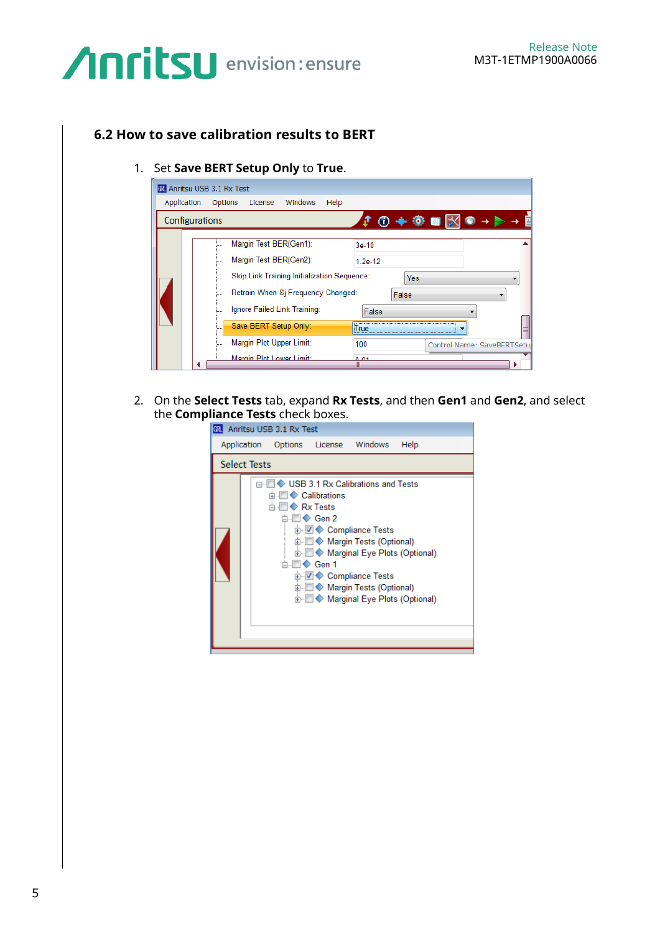#### **6.2 How to save calibration results to BERT**

#### 1. Set **Save BERT Setup Only** to **True**.

| 60 Anritsu USB 3.1 Rx Test |                                                                                                                                                                                                                                                                                                                                                                           |
|----------------------------|---------------------------------------------------------------------------------------------------------------------------------------------------------------------------------------------------------------------------------------------------------------------------------------------------------------------------------------------------------------------------|
| Application<br>Options     | Windows<br>Help<br>License                                                                                                                                                                                                                                                                                                                                                |
| Configurations             | 0 + 0 D X                                                                                                                                                                                                                                                                                                                                                                 |
| i<br><b>Sono</b><br>5      | Margin Test BER(Gen1):<br>$3e-10$<br>Margin Test BER(Gen2):<br>$1.2e-12$<br>Skip Link Training Initialization Sequence:<br>Yes<br>Retrain When Sj Frequency Changed:<br>False<br>Ignore Failed Link Training:<br>False<br>Save BERT Setup Only:<br><b>True</b><br>Margin Plot Upper Limit:<br>100<br>Control Name: SaveBERTSetur<br>Marnin Plot Lower Limit:<br>0.04<br>₩ |

2. On the **Select Tests** tab, expand **Rx Tests**, and then **Gen1** and **Gen2**, and select the **Compliance Tests** check boxes.

|                     | Anritsu USB 3.1 Rx Test |                                                                                 |                                                                                                                                                                                                                                         |      |
|---------------------|-------------------------|---------------------------------------------------------------------------------|-----------------------------------------------------------------------------------------------------------------------------------------------------------------------------------------------------------------------------------------|------|
|                     | Application Options     |                                                                                 | License Windows                                                                                                                                                                                                                         | Help |
| <b>Select Tests</b> |                         |                                                                                 |                                                                                                                                                                                                                                         |      |
|                     |                         | ← Calibrations<br>$\bullet$ Rx Tests<br>$\triangleright$ Gen 2<br>≐-I⊟III Gen 1 | USB 3.1 Rx Calibrations and Tests<br>ட் பி ♥ Compliance Tests<br>画 ■ ● Margin Tests (Optional)<br>面 ● Marginal Eye Plots (Optional)<br>由 図 ◆ Compliance Tests<br>ட்⊩l⊟ ♦ Marqin Tests (Optional)<br>面 ■ ∧ Marginal Eye Plots (Optional) |      |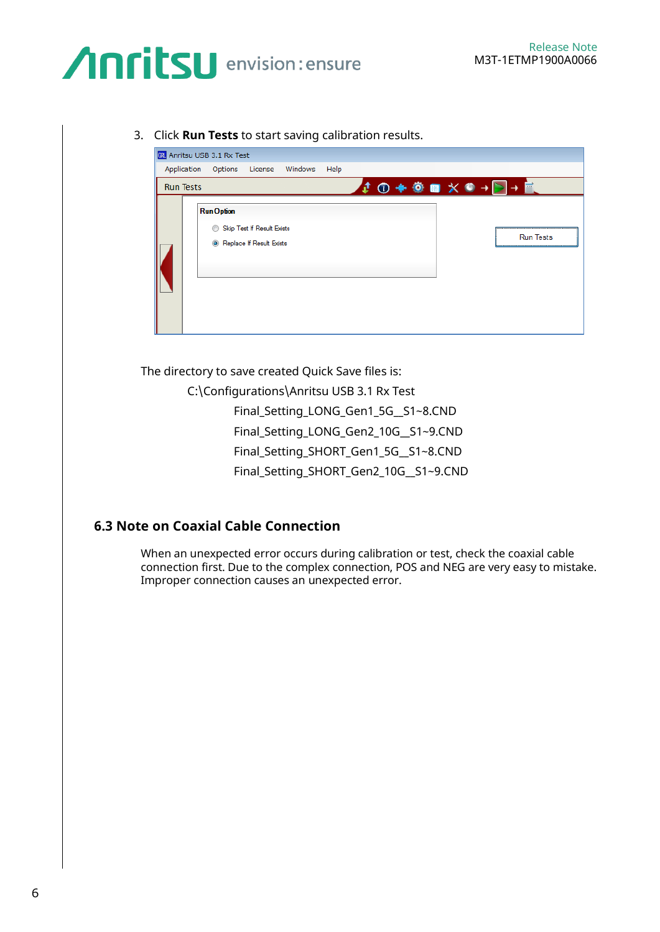3. Click **Run Tests** to start saving calibration results.

|                  | 60 Anritsu USB 3.1 Rx Test                                                  |                       |
|------------------|-----------------------------------------------------------------------------|-----------------------|
|                  | Application Options License Windows<br>Help                                 |                       |
| <b>Run Tests</b> |                                                                             | → ① → ● ■ ※ ◎ → ▶ → ■ |
|                  | <b>Run Option</b><br>Skip Test If Result Exists<br>Replace If Result Exists | <b>Run Tests</b>      |

The directory to save created Quick Save files is:

C:\Configurations\Anritsu USB 3.1 Rx Test

Final\_Setting\_LONG\_Gen1\_5G\_\_S1~8.CND

Final\_Setting\_LONG\_Gen2\_10G\_\_S1~9.CND

Final\_Setting\_SHORT\_Gen1\_5G\_\_S1~8.CND

Final\_Setting\_SHORT\_Gen2\_10G\_\_S1~9.CND

#### **6.3 Note on Coaxial Cable Connection**

When an unexpected error occurs during calibration or test, check the coaxial cable connection first. Due to the complex connection, POS and NEG are very easy to mistake. Improper connection causes an unexpected error.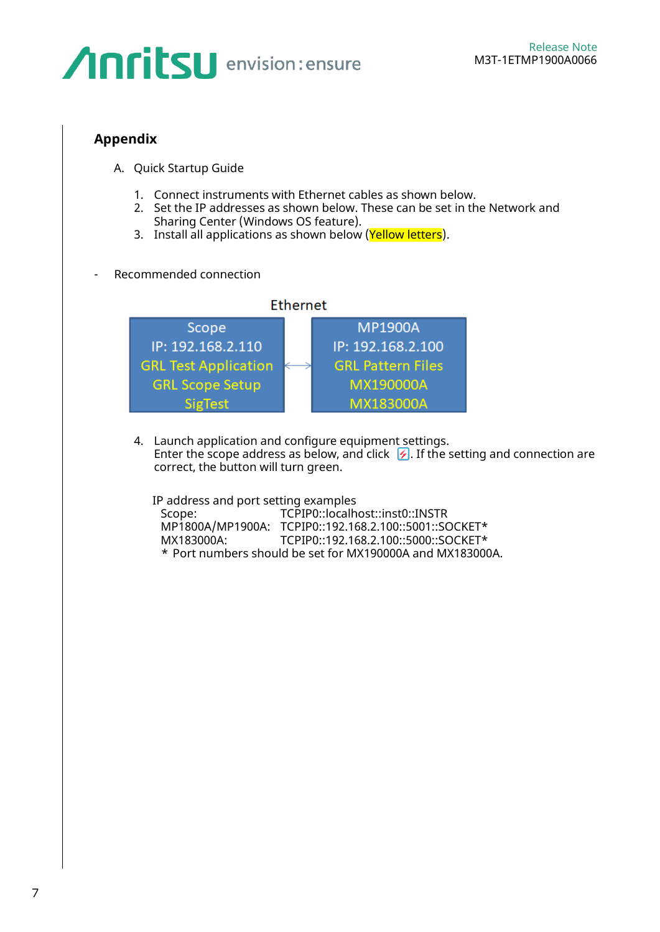#### <span id="page-6-0"></span>**Appendix**

- A. Quick Startup Guide
	- 1. Connect instruments with Ethernet cables as shown below.
	- 2. Set the IP addresses as shown below. These can be set in the Network and Sharing Center (Windows OS feature).
	- 3. Install all applications as shown below (Yellow letters).
- Recommended connection



4. Launch application and configure equipment settings. Enter the scope address as below, and click  $\mathcal G$ . If the setting and connection are correct, the button will turn green.

IP address and port setting examples

| Scope:     | TCPIP0::localhost::inst0::INSTR                           |
|------------|-----------------------------------------------------------|
|            | MP1800A/MP1900A: TCPIP0::192.168.2.100::5001::SOCKET*     |
| MX183000A: | TCPIP0::192.168.2.100::5000::SOCKET*                      |
|            | * Port numbers should be set for MX190000A and MX183000A. |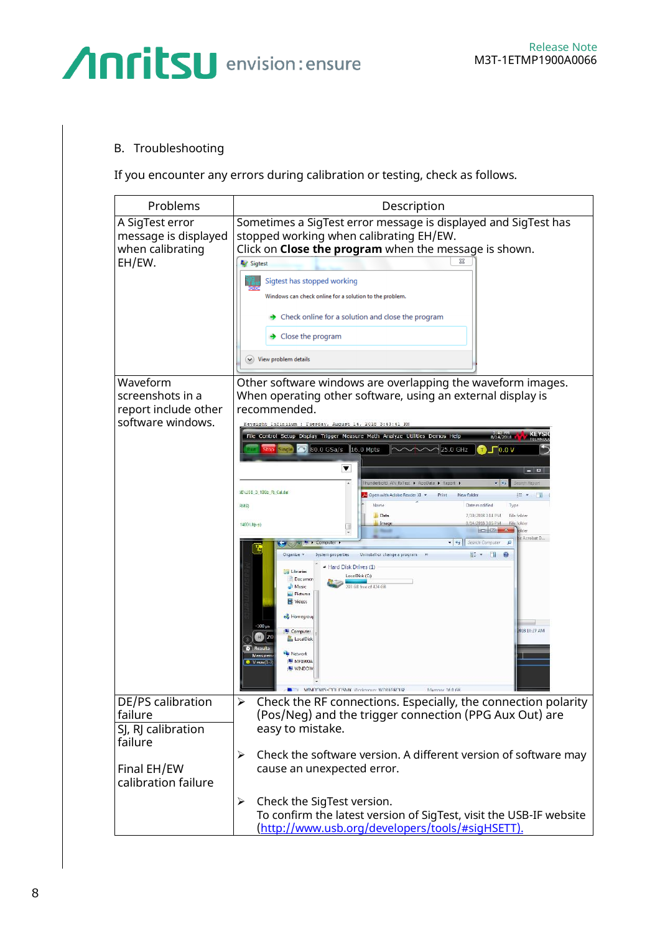#### B. Troubleshooting

If you encounter any errors during calibration or testing, check as follows.

| Problems                                                              | Description                                                                                                                                                                                                                                                                                                                                                                                                                                                                                |  |  |  |  |  |
|-----------------------------------------------------------------------|--------------------------------------------------------------------------------------------------------------------------------------------------------------------------------------------------------------------------------------------------------------------------------------------------------------------------------------------------------------------------------------------------------------------------------------------------------------------------------------------|--|--|--|--|--|
| A SigTest error<br>message is displayed<br>when calibrating<br>EH/EW. | Sometimes a SigTest error message is displayed and SigTest has<br>stopped working when calibrating EH/EW.<br>Click on <b>Close the program</b> when the message is shown.<br>Sigtest<br>Sigtest has stopped working<br>Windows can check online for a solution to the problem.<br>$\rightarrow$ Check online for a solution and close the program<br>$\rightarrow$ Close the program<br>$(\vee)$ View problem details                                                                      |  |  |  |  |  |
| Waveform                                                              | Other software windows are overlapping the waveform images.                                                                                                                                                                                                                                                                                                                                                                                                                                |  |  |  |  |  |
| screenshots in a<br>report include other                              | When operating other software, using an external display is<br>recommended.                                                                                                                                                                                                                                                                                                                                                                                                                |  |  |  |  |  |
| software windows.                                                     | Keysight Infiniium : Tuesday, August 14, 2018 3:43:41 FM                                                                                                                                                                                                                                                                                                                                                                                                                                   |  |  |  |  |  |
|                                                                       | File Control Setup Display Trigger Measure Math Analyze Utilities Demos Help<br>8/14/2018                                                                                                                                                                                                                                                                                                                                                                                                  |  |  |  |  |  |
|                                                                       | 30.0 GSa/s 16.0 Mpts<br>25.0 GHz<br>10.0 V                                                                                                                                                                                                                                                                                                                                                                                                                                                 |  |  |  |  |  |
|                                                                       | ▼<br>$-1$<br>hunderbolt3_AN_RxTest > AppData > Report >                                                                                                                                                                                                                                                                                                                                                                                                                                    |  |  |  |  |  |
|                                                                       | 3BNUSB_3_10Gb_Rj_Cal.dat<br>Open with Adobe Reader XI -<br>Print<br>New folder<br>E L                                                                                                                                                                                                                                                                                                                                                                                                      |  |  |  |  |  |
|                                                                       | Date modified<br>RMS)<br><b>Data</b><br>7/19/2018 3:14 PM<br>File folder                                                                                                                                                                                                                                                                                                                                                                                                                   |  |  |  |  |  |
|                                                                       | Image<br>2018 3:05 PM<br>File folder<br>1400 Ulb g)<br>$\sim$<br>Acrobat D                                                                                                                                                                                                                                                                                                                                                                                                                 |  |  |  |  |  |
|                                                                       | $-4$<br>Search Computer<br>$\Omega$<br><b>L</b> > Computer<br>85 - EU<br>Organize -<br>System properties<br>Uninstall or change a program<br>· Hard Disk Drives (1)<br>Libraries<br>LocalDisk (C:)<br>Document<br>03 GB free of 424 GB<br>Music<br>Pictures<br>Videos<br>Homegroup<br>$-100$ $\mu$<br>2018 10:27 AM<br>Computer<br>LocalDisk<br><b>Network</b><br>Measure<br>MPI900A<br>$\bullet$ V max $(1 -$<br><b>M</b> WINDOW<br>WINDOWS-OOLIOSMK Windowser WORKGROUP<br>Memons 160 GB |  |  |  |  |  |
| DE/PS calibration<br>failure                                          | Check the RF connections. Especially, the connection polarity<br>$\blacktriangleright$<br>(Pos/Neg) and the trigger connection (PPG Aux Out) are                                                                                                                                                                                                                                                                                                                                           |  |  |  |  |  |
| SJ, RJ calibration<br>failure                                         | easy to mistake.                                                                                                                                                                                                                                                                                                                                                                                                                                                                           |  |  |  |  |  |
| Final EH/EW<br>calibration failure                                    | Check the software version. A different version of software may<br>➤<br>cause an unexpected error.                                                                                                                                                                                                                                                                                                                                                                                         |  |  |  |  |  |
|                                                                       | Check the SigTest version.<br>➤<br>To confirm the latest version of SigTest, visit the USB-IF website<br>(http://www.usb.org/developers/tools/#sigHSETT).                                                                                                                                                                                                                                                                                                                                  |  |  |  |  |  |